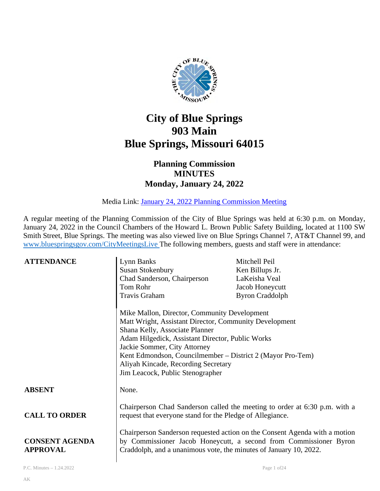

# **City of Blue Springs 903 Main Blue Springs, Missouri 64015**

# **Planning Commission MINUTES Monday, January 24, 2022**

Media Link: [January 24, 2022 Planning Commission Meeting](https://www.youtube.com/watch?v=wmcs_9TLlsU) 

A regular meeting of the Planning Commission of the City of Blue Springs was held at 6:30 p.m. on Monday, January 24, 2022 in the Council Chambers of the Howard L. Brown Public Safety Building, located at 1100 SW Smith Street, Blue Springs. The meeting was also viewed live on Blue Springs Channel 7, AT&T Channel 99, and [www.bluespringsgov.com/CityMeetingsLive](http://www.bluespringsgov.com/CityMeetingsLive) The following members, guests and staff were in attendance:

| <b>ATTENDANCE</b>                        | Lynn Banks                                                                                                                                                                                                                                                                                                                                                            | Mitchell Peil                                                              |
|------------------------------------------|-----------------------------------------------------------------------------------------------------------------------------------------------------------------------------------------------------------------------------------------------------------------------------------------------------------------------------------------------------------------------|----------------------------------------------------------------------------|
|                                          | <b>Susan Stokenbury</b>                                                                                                                                                                                                                                                                                                                                               | Ken Billups Jr.                                                            |
|                                          | Chad Sanderson, Chairperson                                                                                                                                                                                                                                                                                                                                           | LaKeisha Veal                                                              |
|                                          | Tom Rohr                                                                                                                                                                                                                                                                                                                                                              | Jacob Honeycutt                                                            |
|                                          | Travis Graham                                                                                                                                                                                                                                                                                                                                                         | <b>Byron Craddolph</b>                                                     |
|                                          | Mike Mallon, Director, Community Development<br>Matt Wright, Assistant Director, Community Development<br>Shana Kelly, Associate Planner<br>Adam Hilgedick, Assistant Director, Public Works<br>Jackie Sommer, City Attorney<br>Kent Edmondson, Councilmember – District 2 (Mayor Pro-Tem)<br>Aliyah Kincade, Recording Secretary<br>Jim Leacock, Public Stenographer |                                                                            |
| <b>ABSENT</b>                            | None.                                                                                                                                                                                                                                                                                                                                                                 |                                                                            |
| <b>CALL TO ORDER</b>                     | request that everyone stand for the Pledge of Allegiance.                                                                                                                                                                                                                                                                                                             | Chairperson Chad Sanderson called the meeting to order at 6:30 p.m. with a |
| <b>CONSENT AGENDA</b><br><b>APPROVAL</b> | Chairperson Sanderson requested action on the Consent Agenda with a motion<br>by Commissioner Jacob Honeycutt, a second from Commissioner Byron<br>Craddolph, and a unanimous vote, the minutes of January 10, 2022.                                                                                                                                                  |                                                                            |
| P.C. Minutes - 1.24.2022                 |                                                                                                                                                                                                                                                                                                                                                                       | Page 1 of 24                                                               |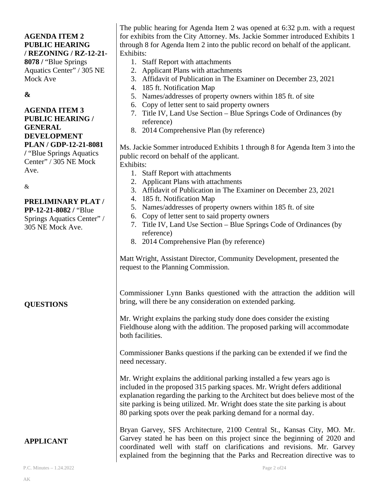### **AGENDA ITEM 2 PUBLIC HEARING / REZONING / RZ-12-21- 8078 /** "Blue Springs

Aquatics Center" / 305 NE Mock Ave

# **&**

#### **AGENDA ITEM 3 PUBLIC HEARING / GENERAL DEVELOPMENT PLAN / GDP-12-21-8081**

**/** "Blue Springs Aquatics Center" / 305 NE Mock Ave.

&

#### **PRELIMINARY PLAT / PP-12-21-8082 /** "Blue

Springs Aquatics Center" / 305 NE Mock Ave.

**QUESTIONS**

The public hearing for Agenda Item 2 was opened at 6:32 p.m. with a request for exhibits from the City Attorney. Ms. Jackie Sommer introduced Exhibits 1 through 8 for Agenda Item 2 into the public record on behalf of the applicant. Exhibits:

- 1. Staff Report with attachments
- 2. Applicant Plans with attachments
- 3. Affidavit of Publication in The Examiner on December 23, 2021
- 4. 185 ft. Notification Map
- 5. Names/addresses of property owners within 185 ft. of site
- 6. Copy of letter sent to said property owners
- 7. Title IV, Land Use Section Blue Springs Code of Ordinances (by reference)
- 8. 2014 Comprehensive Plan (by reference)

Ms. Jackie Sommer introduced Exhibits 1 through 8 for Agenda Item 3 into the public record on behalf of the applicant. Exhibits:

- 1. Staff Report with attachments
- 2. Applicant Plans with attachments
- 3. Affidavit of Publication in The Examiner on December 23, 2021
- 4. 185 ft. Notification Map
- 5. Names/addresses of property owners within 185 ft. of site
- 6. Copy of letter sent to said property owners
- 7. Title IV, Land Use Section Blue Springs Code of Ordinances (by reference)
- 8. 2014 Comprehensive Plan (by reference)

Matt Wright, Assistant Director, Community Development, presented the request to the Planning Commission.

Commissioner Lynn Banks questioned with the attraction the addition will bring, will there be any consideration on extended parking.

Mr. Wright explains the parking study done does consider the existing Fieldhouse along with the addition. The proposed parking will accommodate both facilities.

Commissioner Banks questions if the parking can be extended if we find the need necessary.

Mr. Wright explains the additional parking installed a few years ago is included in the proposed 315 parking spaces. Mr. Wright defers additional explanation regarding the parking to the Architect but does believe most of the site parking is being utilized. Mr. Wright does state the site parking is about 80 parking spots over the peak parking demand for a normal day.

# **APPLICANT**

Bryan Garvey, SFS Architecture, 2100 Central St., Kansas City, MO. Mr. Garvey stated he has been on this project since the beginning of 2020 and coordinated well with staff on clarifications and revisions. Mr. Garvey explained from the beginning that the Parks and Recreation directive was to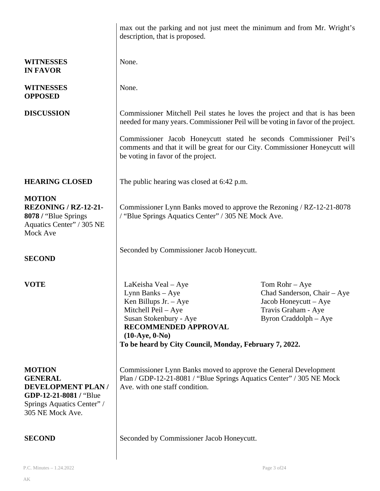|                                                                                                                                         | max out the parking and not just meet the minimum and from Mr. Wright's<br>description, that is proposed.                                                                                                                                                                                                                                             |              |  |
|-----------------------------------------------------------------------------------------------------------------------------------------|-------------------------------------------------------------------------------------------------------------------------------------------------------------------------------------------------------------------------------------------------------------------------------------------------------------------------------------------------------|--------------|--|
| <b>WITNESSES</b><br><b>IN FAVOR</b>                                                                                                     | None.                                                                                                                                                                                                                                                                                                                                                 |              |  |
| <b>WITNESSES</b><br><b>OPPOSED</b>                                                                                                      | None.                                                                                                                                                                                                                                                                                                                                                 |              |  |
| <b>DISCUSSION</b>                                                                                                                       | Commissioner Mitchell Peil states he loves the project and that is has been<br>needed for many years. Commissioner Peil will be voting in favor of the project.                                                                                                                                                                                       |              |  |
|                                                                                                                                         | Commissioner Jacob Honeycutt stated he seconds Commissioner Peil's<br>comments and that it will be great for our City. Commissioner Honeycutt will<br>be voting in favor of the project.                                                                                                                                                              |              |  |
| <b>HEARING CLOSED</b>                                                                                                                   | The public hearing was closed at 6:42 p.m.                                                                                                                                                                                                                                                                                                            |              |  |
| <b>MOTION</b><br><b>REZONING / RZ-12-21-</b><br>8078 / "Blue Springs"<br>Aquatics Center" / 305 NE<br>Mock Ave                          | Commissioner Lynn Banks moved to approve the Rezoning / RZ-12-21-8078<br>/ "Blue Springs Aquatics Center" / 305 NE Mock Ave.                                                                                                                                                                                                                          |              |  |
| <b>SECOND</b>                                                                                                                           | Seconded by Commissioner Jacob Honeycutt.                                                                                                                                                                                                                                                                                                             |              |  |
| <b>VOTE</b>                                                                                                                             | LaKeisha Veal - Aye<br>Tom Rohr $-$ Aye<br>Lynn Banks – Aye<br>Chad Sanderson, Chair – Aye<br>Ken Billups Jr. - Aye<br>Jacob Honeycutt $-$ Aye<br>Mitchell Peil - Aye<br>Travis Graham - Aye<br>Susan Stokenbury - Aye<br>Byron Craddolph - Aye<br>RECOMMENDED APPROVAL<br>$(10-Aye, 0-No)$<br>To be heard by City Council, Monday, February 7, 2022. |              |  |
| <b>MOTION</b><br><b>GENERAL</b><br><b>DEVELOPMENT PLAN/</b><br>GDP-12-21-8081 / "Blue<br>Springs Aquatics Center" /<br>305 NE Mock Ave. | Commissioner Lynn Banks moved to approve the General Development<br>Plan / GDP-12-21-8081 / "Blue Springs Aquatics Center" / 305 NE Mock<br>Ave. with one staff condition.                                                                                                                                                                            |              |  |
| <b>SECOND</b>                                                                                                                           | Seconded by Commissioner Jacob Honeycutt.                                                                                                                                                                                                                                                                                                             |              |  |
| P.C. Minutes $-1.24.2022$                                                                                                               |                                                                                                                                                                                                                                                                                                                                                       | Page 3 of 24 |  |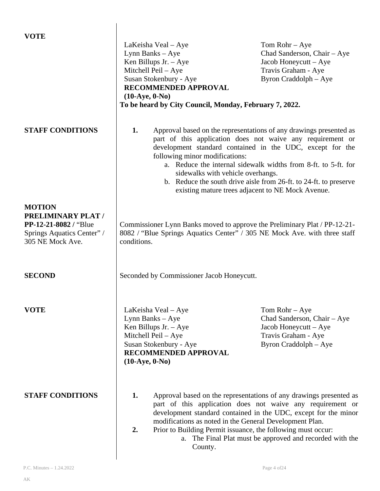| <b>VOTE</b>                                                             |                                                                                                                                                                                                                                                                                                                                                                                                                   |                                                                                                                                                        |
|-------------------------------------------------------------------------|-------------------------------------------------------------------------------------------------------------------------------------------------------------------------------------------------------------------------------------------------------------------------------------------------------------------------------------------------------------------------------------------------------------------|--------------------------------------------------------------------------------------------------------------------------------------------------------|
|                                                                         | LaKeisha Veal – Aye                                                                                                                                                                                                                                                                                                                                                                                               | Tom Rohr $-$ Aye                                                                                                                                       |
|                                                                         | Lynn Banks - Aye                                                                                                                                                                                                                                                                                                                                                                                                  | Chad Sanderson, Chair - Aye                                                                                                                            |
|                                                                         | Ken Billups Jr. $-$ Aye                                                                                                                                                                                                                                                                                                                                                                                           | Jacob Honeycutt - Aye                                                                                                                                  |
|                                                                         | Mitchell Peil - Aye                                                                                                                                                                                                                                                                                                                                                                                               | Travis Graham - Aye                                                                                                                                    |
|                                                                         | Susan Stokenbury - Aye                                                                                                                                                                                                                                                                                                                                                                                            | Byron Craddolph - Aye                                                                                                                                  |
|                                                                         | RECOMMENDED APPROVAL                                                                                                                                                                                                                                                                                                                                                                                              |                                                                                                                                                        |
|                                                                         | $(10-Aye, 0-No)$                                                                                                                                                                                                                                                                                                                                                                                                  |                                                                                                                                                        |
|                                                                         | To be heard by City Council, Monday, February 7, 2022.                                                                                                                                                                                                                                                                                                                                                            |                                                                                                                                                        |
|                                                                         |                                                                                                                                                                                                                                                                                                                                                                                                                   |                                                                                                                                                        |
| <b>STAFF CONDITIONS</b>                                                 | 1.<br>Approval based on the representations of any drawings presented as<br>part of this application does not waive any requirement or<br>development standard contained in the UDC, except for the<br>following minor modifications:<br>a. Reduce the internal sidewalk widths from 8-ft. to 5-ft. for<br>sidewalks with vehicle overhangs.<br>b. Reduce the south drive aisle from 26-ft. to 24-ft. to preserve |                                                                                                                                                        |
|                                                                         |                                                                                                                                                                                                                                                                                                                                                                                                                   | existing mature trees adjacent to NE Mock Avenue.                                                                                                      |
| <b>MOTION</b><br>PRELIMINARY PLAT /                                     |                                                                                                                                                                                                                                                                                                                                                                                                                   |                                                                                                                                                        |
| PP-12-21-8082 / "Blue<br>Springs Aquatics Center" /<br>305 NE Mock Ave. | conditions.                                                                                                                                                                                                                                                                                                                                                                                                       | Commissioner Lynn Banks moved to approve the Preliminary Plat / PP-12-21-<br>8082 / "Blue Springs Aquatics Center" / 305 NE Mock Ave. with three staff |
| <b>SECOND</b>                                                           | Seconded by Commissioner Jacob Honeycutt.                                                                                                                                                                                                                                                                                                                                                                         |                                                                                                                                                        |
| <b>VOTE</b>                                                             | LaKeisha Veal – Aye                                                                                                                                                                                                                                                                                                                                                                                               | Tom Rohr $-$ Aye                                                                                                                                       |
|                                                                         | Lynn Banks – Aye                                                                                                                                                                                                                                                                                                                                                                                                  | Chad Sanderson, Chair - Aye                                                                                                                            |
|                                                                         | Ken Billups Jr. $-$ Aye                                                                                                                                                                                                                                                                                                                                                                                           | Jacob Honeycutt – Aye                                                                                                                                  |
|                                                                         | Mitchell Peil - Aye                                                                                                                                                                                                                                                                                                                                                                                               | Travis Graham - Aye                                                                                                                                    |
|                                                                         | Susan Stokenbury - Aye                                                                                                                                                                                                                                                                                                                                                                                            | Byron Craddolph – Aye                                                                                                                                  |
|                                                                         | RECOMMENDED APPROVAL                                                                                                                                                                                                                                                                                                                                                                                              |                                                                                                                                                        |
|                                                                         | $(10-Aye, 0-No)$                                                                                                                                                                                                                                                                                                                                                                                                  |                                                                                                                                                        |
|                                                                         |                                                                                                                                                                                                                                                                                                                                                                                                                   |                                                                                                                                                        |
|                                                                         |                                                                                                                                                                                                                                                                                                                                                                                                                   |                                                                                                                                                        |
|                                                                         |                                                                                                                                                                                                                                                                                                                                                                                                                   |                                                                                                                                                        |
| <b>STAFF CONDITIONS</b>                                                 | 1.                                                                                                                                                                                                                                                                                                                                                                                                                | Approval based on the representations of any drawings presented as                                                                                     |
|                                                                         | part of this application does not waive any requirement or                                                                                                                                                                                                                                                                                                                                                        |                                                                                                                                                        |
|                                                                         | development standard contained in the UDC, except for the minor                                                                                                                                                                                                                                                                                                                                                   |                                                                                                                                                        |
|                                                                         |                                                                                                                                                                                                                                                                                                                                                                                                                   | modifications as noted in the General Development Plan.                                                                                                |
|                                                                         | 2.                                                                                                                                                                                                                                                                                                                                                                                                                | Prior to Building Permit issuance, the following must occur:                                                                                           |
|                                                                         |                                                                                                                                                                                                                                                                                                                                                                                                                   | a. The Final Plat must be approved and recorded with the                                                                                               |
|                                                                         | County.                                                                                                                                                                                                                                                                                                                                                                                                           |                                                                                                                                                        |

 $\overline{\phantom{a}}$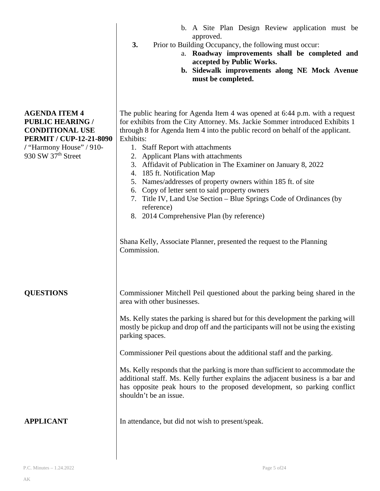|                                                                                                                                                               | approved.<br>3.<br>Prior to Building Occupancy, the following must occur:<br>a. Roadway improvements shall be completed and<br>accepted by Public Works.<br>b. Sidewalk improvements along NE Mock Avenue<br>must be completed.                                                                                                                                                                                                                                                                                                                                                                                                                                                                  |
|---------------------------------------------------------------------------------------------------------------------------------------------------------------|--------------------------------------------------------------------------------------------------------------------------------------------------------------------------------------------------------------------------------------------------------------------------------------------------------------------------------------------------------------------------------------------------------------------------------------------------------------------------------------------------------------------------------------------------------------------------------------------------------------------------------------------------------------------------------------------------|
| <b>AGENDA ITEM 4</b><br><b>PUBLIC HEARING /</b><br><b>CONDITIONAL USE</b><br><b>PERMIT / CUP-12-21-8090</b><br>/ "Harmony House" / 910-<br>930 SW 37th Street | The public hearing for Agenda Item 4 was opened at 6:44 p.m. with a request<br>for exhibits from the City Attorney. Ms. Jackie Sommer introduced Exhibits 1<br>through 8 for Agenda Item 4 into the public record on behalf of the applicant.<br>Exhibits:<br>1. Staff Report with attachments<br>2. Applicant Plans with attachments<br>3. Affidavit of Publication in The Examiner on January 8, 2022<br>185 ft. Notification Map<br>4.<br>Names/addresses of property owners within 185 ft. of site<br>5.<br>6. Copy of letter sent to said property owners<br>7. Title IV, Land Use Section - Blue Springs Code of Ordinances (by<br>reference)<br>8. 2014 Comprehensive Plan (by reference) |
|                                                                                                                                                               | Shana Kelly, Associate Planner, presented the request to the Planning<br>Commission.                                                                                                                                                                                                                                                                                                                                                                                                                                                                                                                                                                                                             |
| <b>QUESTIONS</b>                                                                                                                                              | Commissioner Mitchell Peil questioned about the parking being shared in the<br>area with other businesses.<br>Ms. Kelly states the parking is shared but for this development the parking will<br>mostly be pickup and drop off and the participants will not be using the existing<br>parking spaces.<br>Commissioner Peil questions about the additional staff and the parking.<br>Ms. Kelly responds that the parking is more than sufficient to accommodate the<br>additional staff. Ms. Kelly further explains the adjacent business is a bar and<br>has opposite peak hours to the proposed development, so parking conflict<br>shouldn't be an issue.                                     |
| <b>APPLICANT</b>                                                                                                                                              | In attendance, but did not wish to present/speak.                                                                                                                                                                                                                                                                                                                                                                                                                                                                                                                                                                                                                                                |

b. A Site Plan Design Review application must be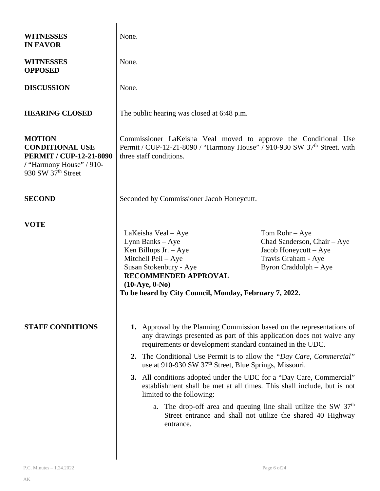| <b>WITNESSES</b><br><b>IN FAVOR</b>                                                                                           | None.                                                                                                                                                                                                                            |                                                                                                                                                                                                                                                                                                                                                                                                                                                                                                                                                                                                                                                    |  |
|-------------------------------------------------------------------------------------------------------------------------------|----------------------------------------------------------------------------------------------------------------------------------------------------------------------------------------------------------------------------------|----------------------------------------------------------------------------------------------------------------------------------------------------------------------------------------------------------------------------------------------------------------------------------------------------------------------------------------------------------------------------------------------------------------------------------------------------------------------------------------------------------------------------------------------------------------------------------------------------------------------------------------------------|--|
| <b>WITNESSES</b><br><b>OPPOSED</b>                                                                                            | None.                                                                                                                                                                                                                            |                                                                                                                                                                                                                                                                                                                                                                                                                                                                                                                                                                                                                                                    |  |
| <b>DISCUSSION</b>                                                                                                             | None.                                                                                                                                                                                                                            |                                                                                                                                                                                                                                                                                                                                                                                                                                                                                                                                                                                                                                                    |  |
| <b>HEARING CLOSED</b>                                                                                                         | The public hearing was closed at 6:48 p.m.                                                                                                                                                                                       |                                                                                                                                                                                                                                                                                                                                                                                                                                                                                                                                                                                                                                                    |  |
| <b>MOTION</b><br><b>CONDITIONAL USE</b><br><b>PERMIT / CUP-12-21-8090</b><br>/ "Harmony House" / 910-<br>930 SW $37th$ Street | Commissioner LaKeisha Veal moved to approve the Conditional Use<br>Permit / CUP-12-21-8090 / "Harmony House" / 910-930 SW 37 <sup>th</sup> Street. with<br>three staff conditions.                                               |                                                                                                                                                                                                                                                                                                                                                                                                                                                                                                                                                                                                                                                    |  |
| <b>SECOND</b>                                                                                                                 | Seconded by Commissioner Jacob Honeycutt.                                                                                                                                                                                        |                                                                                                                                                                                                                                                                                                                                                                                                                                                                                                                                                                                                                                                    |  |
| <b>VOTE</b>                                                                                                                   | LaKeisha Veal - Aye<br>Lynn Banks - Aye<br>Ken Billups Jr. $-$ Aye<br>Mitchell Peil - Aye<br>Susan Stokenbury - Aye<br><b>RECOMMENDED APPROVAL</b><br>$(10-Aye, 0-No)$<br>To be heard by City Council, Monday, February 7, 2022. | Tom Rohr $-$ Aye<br>Chad Sanderson, Chair - Aye<br>Jacob Honeycutt – Aye<br>Travis Graham - Aye<br>Byron Craddolph - Aye                                                                                                                                                                                                                                                                                                                                                                                                                                                                                                                           |  |
| <b>STAFF CONDITIONS</b>                                                                                                       | limited to the following:<br>entrance.                                                                                                                                                                                           | 1. Approval by the Planning Commission based on the representations of<br>any drawings presented as part of this application does not waive any<br>requirements or development standard contained in the UDC.<br>2. The Conditional Use Permit is to allow the "Day Care, Commercial"<br>use at 910-930 SW 37 <sup>th</sup> Street, Blue Springs, Missouri.<br>3. All conditions adopted under the UDC for a "Day Care, Commercial"<br>establishment shall be met at all times. This shall include, but is not<br>a. The drop-off area and queuing line shall utilize the SW $37th$<br>Street entrance and shall not utilize the shared 40 Highway |  |
|                                                                                                                               |                                                                                                                                                                                                                                  |                                                                                                                                                                                                                                                                                                                                                                                                                                                                                                                                                                                                                                                    |  |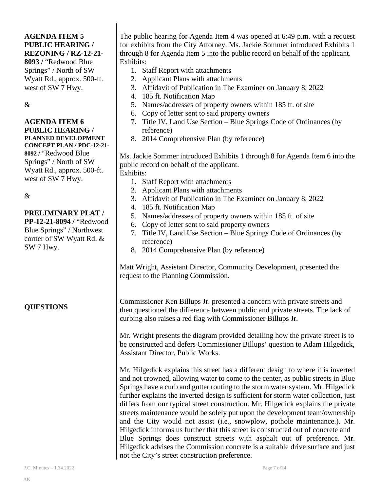## **AGENDA ITEM 5 PUBLIC HEARING / REZONING / RZ-12-21-**

**8093 /** "Redwood Blue Springs" / North of SW Wyatt Rd., approx. 500-ft. west of SW 7 Hwy.

&

#### **AGENDA ITEM 6 PUBLIC HEARING / PLANNED DEVELOPMENT CONCEPT PLAN / PDC-12-21-**

**8092 /** "Redwood Blue Springs" / North of SW Wyatt Rd., approx. 500-ft. west of SW 7 Hwy.

&

# **PRELIMINARY PLAT /**

**PP-12-21-8094 /** "Redwood Blue Springs" / Northwest corner of SW Wyatt Rd. & SW 7 Hwy.

**QUESTIONS**

The public hearing for Agenda Item 4 was opened at 6:49 p.m. with a request for exhibits from the City Attorney. Ms. Jackie Sommer introduced Exhibits 1 through 8 for Agenda Item 5 into the public record on behalf of the applicant. Exhibits:

- 1. Staff Report with attachments
- 2. Applicant Plans with attachments
- 3. Affidavit of Publication in The Examiner on January 8, 2022
- 4. 185 ft. Notification Map
- 5. Names/addresses of property owners within 185 ft. of site
- 6. Copy of letter sent to said property owners
- 7. Title IV, Land Use Section Blue Springs Code of Ordinances (by reference)
- 8. 2014 Comprehensive Plan (by reference)

Ms. Jackie Sommer introduced Exhibits 1 through 8 for Agenda Item 6 into the public record on behalf of the applicant. Exhibits:

- 1. Staff Report with attachments
- 2. Applicant Plans with attachments
- 3. Affidavit of Publication in The Examiner on January 8, 2022
- 4. 185 ft. Notification Map
- 5. Names/addresses of property owners within 185 ft. of site
- 6. Copy of letter sent to said property owners
- 7. Title IV, Land Use Section Blue Springs Code of Ordinances (by reference)
- 8. 2014 Comprehensive Plan (by reference)

Matt Wright, Assistant Director, Community Development, presented the request to the Planning Commission.

Commissioner Ken Billups Jr. presented a concern with private streets and then questioned the difference between public and private streets. The lack of curbing also raises a red flag with Commissioner Billups Jr.

Mr. Wright presents the diagram provided detailing how the private street is to be constructed and defers Commissioner Billups' question to Adam Hilgedick, Assistant Director, Public Works.

Mr. Hilgedick explains this street has a different design to where it is inverted and not crowned, allowing water to come to the center, as public streets in Blue Springs have a curb and gutter routing to the storm water system. Mr. Hilgedick further explains the inverted design is sufficient for storm water collection, just differs from our typical street construction. Mr. Hilgedick explains the private streets maintenance would be solely put upon the development team/ownership and the City would not assist (i.e., snowplow, pothole maintenance.). Mr. Hilgedick informs us further that this street is constructed out of concrete and Blue Springs does construct streets with asphalt out of preference. Mr. Hilgedick advises the Commission concrete is a suitable drive surface and just not the City's street construction preference.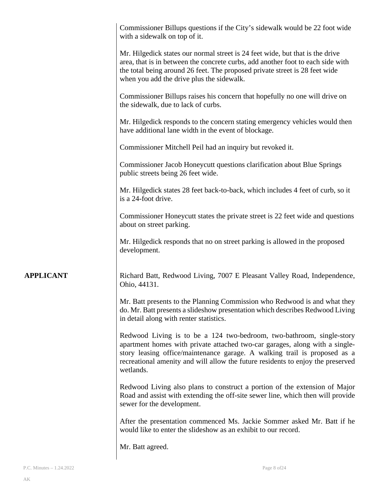|                  | Commissioner Billups questions if the City's sidewalk would be 22 foot wide<br>with a sidewalk on top of it.                                                                                                                                                                                                                      |
|------------------|-----------------------------------------------------------------------------------------------------------------------------------------------------------------------------------------------------------------------------------------------------------------------------------------------------------------------------------|
|                  | Mr. Hilgedick states our normal street is 24 feet wide, but that is the drive<br>area, that is in between the concrete curbs, add another foot to each side with<br>the total being around 26 feet. The proposed private street is 28 feet wide<br>when you add the drive plus the sidewalk.                                      |
|                  | Commissioner Billups raises his concern that hopefully no one will drive on<br>the sidewalk, due to lack of curbs.                                                                                                                                                                                                                |
|                  | Mr. Hilgedick responds to the concern stating emergency vehicles would then<br>have additional lane width in the event of blockage.                                                                                                                                                                                               |
|                  | Commissioner Mitchell Peil had an inquiry but revoked it.                                                                                                                                                                                                                                                                         |
|                  | Commissioner Jacob Honeycutt questions clarification about Blue Springs<br>public streets being 26 feet wide.                                                                                                                                                                                                                     |
|                  | Mr. Hilgedick states 28 feet back-to-back, which includes 4 feet of curb, so it<br>is a 24-foot drive.                                                                                                                                                                                                                            |
|                  | Commissioner Honeycutt states the private street is 22 feet wide and questions<br>about on street parking.                                                                                                                                                                                                                        |
|                  | Mr. Hilgedick responds that no on street parking is allowed in the proposed<br>development.                                                                                                                                                                                                                                       |
| <b>APPLICANT</b> | Richard Batt, Redwood Living, 7007 E Pleasant Valley Road, Independence,<br>Ohio, 44131.                                                                                                                                                                                                                                          |
|                  | Mr. Batt presents to the Planning Commission who Redwood is and what they<br>do. Mr. Batt presents a slideshow presentation which describes Redwood Living<br>in detail along with renter statistics.                                                                                                                             |
|                  | Redwood Living is to be a 124 two-bedroom, two-bathroom, single-story<br>apartment homes with private attached two-car garages, along with a single-<br>story leasing office/maintenance garage. A walking trail is proposed as a<br>recreational amenity and will allow the future residents to enjoy the preserved<br>wetlands. |
|                  | Redwood Living also plans to construct a portion of the extension of Major<br>Road and assist with extending the off-site sewer line, which then will provide<br>sewer for the development.                                                                                                                                       |
|                  | After the presentation commenced Ms. Jackie Sommer asked Mr. Batt if he<br>would like to enter the slideshow as an exhibit to our record.                                                                                                                                                                                         |
|                  | Mr. Batt agreed.                                                                                                                                                                                                                                                                                                                  |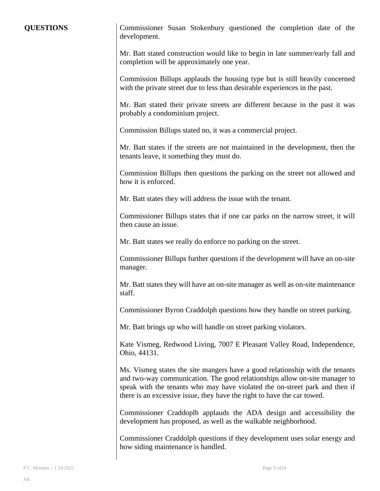**QUESTIONS** Commissioner Susan Stokenbury questioned the completion date of the development.

> Mr. Batt stated construction would like to begin in late summer/early fall and completion will be approximately one year.

> Commission Billups applauds the housing type but is still heavily concerned with the private street due to less than desirable experiences in the past.

> Mr. Batt stated their private streets are different because in the past it was probably a condominium project.

Commission Billups stated no, it was a commercial project.

Mr. Batt states if the streets are not maintained in the development, then the tenants leave, it something they must do.

Commission Billups then questions the parking on the street not allowed and how it is enforced.

Mr. Batt states they will address the issue with the tenant.

Commissioner Billups states that if one car parks on the narrow street, it will then cause an issue.

Mr. Batt states we really do enforce no parking on the street.

Commissioner Billups further questions if the development will have an on-site manager.

Mr. Batt states they will have an on-site manager as well as on-site maintenance staff.

Commissioner Byron Craddolph questions how they handle on street parking.

Mr. Batt brings up who will handle on street parking violators.

Kate Vismeg, Redwood Living, 7007 E Pleasant Valley Road, Independence, Ohio, 44131.

Ms. Vismeg states the site mangers have a good relationship with the tenants and two-way communication. The good relationships allow on-site manager to speak with the tenants who may have violated the on-street park and then if there is an excessive issue, they have the right to have the car towed.

Commissioner Craddoplh applauds the ADA design and accessibility the development has proposed, as well as the walkable neighborhood.

Commissioner Craddolph questions if they development uses solar energy and how siding maintenance is handled.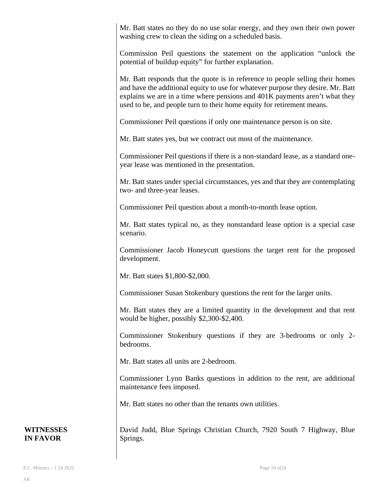Mr. Batt states no they do no use solar energy, and they own their own power washing crew to clean the siding on a scheduled basis.

Commission Peil questions the statement on the application "unlock the potential of buildup equity" for further explanation.

Mr. Batt responds that the quote is in reference to people selling their homes and have the additional equity to use for whatever purpose they desire. Mr. Batt explains we are in a time where pensions and 401K payments aren't what they used to be, and people turn to their home equity for retirement means.

Commissioner Peil questions if only one maintenance person is on site.

Mr. Batt states yes, but we contract out most of the maintenance.

Commissioner Peil questions if there is a non-standard lease, as a standard oneyear lease was mentioned in the presentation.

Mr. Batt states under special circumstances, yes and that they are contemplating two- and three-year leases.

Commissioner Peil question about a month-to-month lease option.

Mr. Batt states typical no, as they nonstandard lease option is a special case scenario.

Commissioner Jacob Honeycutt questions the target rent for the proposed development.

Mr. Batt states \$1,800-\$2,000.

Commissioner Susan Stokenbury questions the rent for the larger units.

Mr. Batt states they are a limited quantity in the development and that rent would be higher, possibly \$2,300-\$2,400.

Commissioner Stokenbury questions if they are 3-bedrooms or only 2 bedrooms.

Mr. Batt states all units are 2-bedroom.

Commissioner Lynn Banks questions in addition to the rent, are additional maintenance fees imposed.

Mr. Batt states no other than the tenants own utilities.

David Judd, Blue Springs Christian Church, 7920 South 7 Highway, Blue Springs.

#### **WITNESSES IN FAVOR**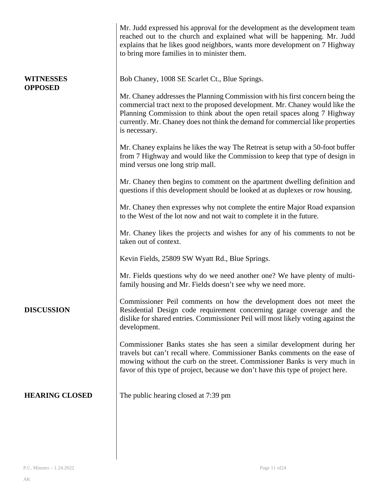|                             | Mr. Judd expressed his approval for the development as the development team<br>reached out to the church and explained what will be happening. Mr. Judd<br>explains that he likes good neighbors, wants more development on 7 Highway<br>to bring more families in to minister them.                                                          |
|-----------------------------|-----------------------------------------------------------------------------------------------------------------------------------------------------------------------------------------------------------------------------------------------------------------------------------------------------------------------------------------------|
| WITNESSES<br><b>OPPOSED</b> | Bob Chaney, 1008 SE Scarlet Ct., Blue Springs.                                                                                                                                                                                                                                                                                                |
|                             | Mr. Chaney addresses the Planning Commission with his first concern being the<br>commercial tract next to the proposed development. Mr. Chaney would like the<br>Planning Commission to think about the open retail spaces along 7 Highway<br>currently. Mr. Chaney does not think the demand for commercial like properties<br>is necessary. |
|                             | Mr. Chaney explains he likes the way The Retreat is setup with a 50-foot buffer<br>from 7 Highway and would like the Commission to keep that type of design in<br>mind versus one long strip mall.                                                                                                                                            |
|                             | Mr. Chaney then begins to comment on the apartment dwelling definition and<br>questions if this development should be looked at as duplexes or row housing.                                                                                                                                                                                   |
|                             | Mr. Chaney then expresses why not complete the entire Major Road expansion<br>to the West of the lot now and not wait to complete it in the future.                                                                                                                                                                                           |
|                             | Mr. Chaney likes the projects and wishes for any of his comments to not be<br>taken out of context.                                                                                                                                                                                                                                           |
|                             | Kevin Fields, 25809 SW Wyatt Rd., Blue Springs.                                                                                                                                                                                                                                                                                               |
|                             | Mr. Fields questions why do we need another one? We have plenty of multi-<br>family housing and Mr. Fields doesn't see why we need more.                                                                                                                                                                                                      |
| <b>DISCUSSION</b>           | Commissioner Peil comments on how the development does not meet the<br>Residential Design code requirement concerning garage coverage and the<br>dislike for shared entries. Commissioner Peil will most likely voting against the<br>development.                                                                                            |
|                             | Commissioner Banks states she has seen a similar development during her<br>travels but can't recall where. Commissioner Banks comments on the ease of<br>mowing without the curb on the street. Commissioner Banks is very much in<br>favor of this type of project, because we don't have this type of project here.                         |
| <b>HEARING CLOSED</b>       | The public hearing closed at 7:39 pm                                                                                                                                                                                                                                                                                                          |
|                             |                                                                                                                                                                                                                                                                                                                                               |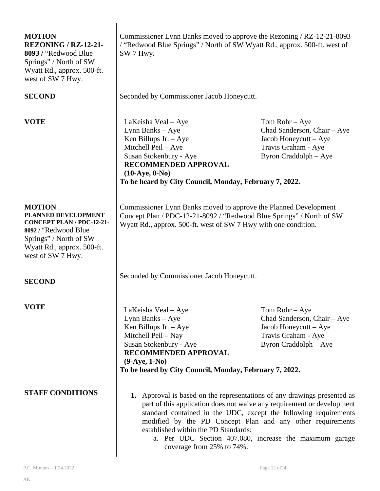| <b>MOTION</b><br><b>REZONING / RZ-12-21-</b><br>8093 / "Redwood Blue"<br>Springs" / North of SW<br>Wyatt Rd., approx. 500-ft.<br>west of SW 7 Hwy.                   | Commissioner Lynn Banks moved to approve the Rezoning / RZ-12-21-8093<br>/ "Redwood Blue Springs" / North of SW Wyatt Rd., approx. 500-ft. west of<br>SW 7 Hwy.                                                                                                                                                                                                                                                      |                                                                                                                          |
|----------------------------------------------------------------------------------------------------------------------------------------------------------------------|----------------------------------------------------------------------------------------------------------------------------------------------------------------------------------------------------------------------------------------------------------------------------------------------------------------------------------------------------------------------------------------------------------------------|--------------------------------------------------------------------------------------------------------------------------|
| <b>SECOND</b>                                                                                                                                                        | Seconded by Commissioner Jacob Honeycutt.                                                                                                                                                                                                                                                                                                                                                                            |                                                                                                                          |
| <b>VOTE</b>                                                                                                                                                          | LaKeisha Veal – Aye<br>Lynn Banks - Aye<br>Ken Billups Jr. - Aye<br>Mitchell Peil - Aye<br>Susan Stokenbury - Aye<br>RECOMMENDED APPROVAL<br>$(10-Aye, 0-No)$<br>To be heard by City Council, Monday, February 7, 2022.                                                                                                                                                                                              | Tom Rohr $-$ Aye<br>Chad Sanderson, Chair - Aye<br>Jacob Honeycutt - Aye<br>Travis Graham - Aye<br>Byron Craddolph – Aye |
| <b>MOTION</b><br>PLANNED DEVELOPMENT<br>CONCEPT PLAN / PDC-12-21-<br>8092/"Redwood Blue<br>Springs" / North of SW<br>Wyatt Rd., approx. 500-ft.<br>west of SW 7 Hwy. | Commissioner Lynn Banks moved to approve the Planned Development<br>Concept Plan / PDC-12-21-8092 / "Redwood Blue Springs" / North of SW<br>Wyatt Rd., approx. 500-ft. west of SW 7 Hwy with one condition.                                                                                                                                                                                                          |                                                                                                                          |
| <b>SECOND</b>                                                                                                                                                        | Seconded by Commissioner Jacob Honeycutt.                                                                                                                                                                                                                                                                                                                                                                            |                                                                                                                          |
| <b>VOTE</b>                                                                                                                                                          | LaKeisha Veal - Aye<br>Lynn Banks - Aye<br>Ken Billups Jr. - Aye<br>Mitchell Peil - Nay<br>Susan Stokenbury - Aye<br>RECOMMENDED APPROVAL<br>$(9-Aye, 1-No)$<br>To be heard by City Council, Monday, February 7, 2022.                                                                                                                                                                                               | Tom Rohr $-$ Aye<br>Chad Sanderson, Chair - Aye<br>Jacob Honeycutt - Aye<br>Travis Graham - Aye<br>Byron Craddolph - Aye |
| <b>STAFF CONDITIONS</b>                                                                                                                                              | 1. Approval is based on the representations of any drawings presented as<br>part of this application does not waive any requirement or development<br>standard contained in the UDC, except the following requirements<br>modified by the PD Concept Plan and any other requirements<br>established within the PD Standards:<br>a. Per UDC Section 407.080, increase the maximum garage<br>coverage from 25% to 74%. |                                                                                                                          |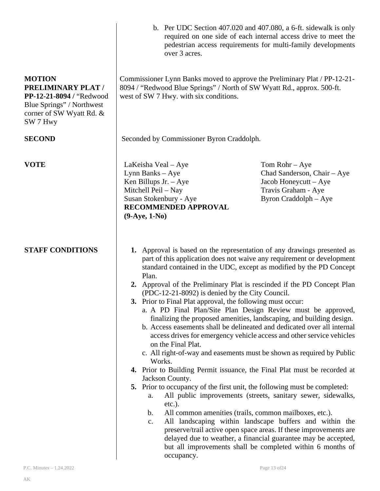|                                                                                                                                             | over 3 acres.                                                                                                                                                                                                                                                                                                                                                                                                                                                                                                                                                                                                                                                                                                                                                                                                                                                                                                                                                                                                                                                                                                                                                                                                                                                                                                                                                                                                                                                     | b. Per UDC Section 407.020 and 407.080, a 6-ft. sidewalk is only<br>required on one side of each internal access drive to meet the<br>pedestrian access requirements for multi-family developments |  |
|---------------------------------------------------------------------------------------------------------------------------------------------|-------------------------------------------------------------------------------------------------------------------------------------------------------------------------------------------------------------------------------------------------------------------------------------------------------------------------------------------------------------------------------------------------------------------------------------------------------------------------------------------------------------------------------------------------------------------------------------------------------------------------------------------------------------------------------------------------------------------------------------------------------------------------------------------------------------------------------------------------------------------------------------------------------------------------------------------------------------------------------------------------------------------------------------------------------------------------------------------------------------------------------------------------------------------------------------------------------------------------------------------------------------------------------------------------------------------------------------------------------------------------------------------------------------------------------------------------------------------|----------------------------------------------------------------------------------------------------------------------------------------------------------------------------------------------------|--|
| <b>MOTION</b><br><b>PRELIMINARY PLAT /</b><br>PP-12-21-8094 / "Redwood<br>Blue Springs" / Northwest<br>corner of SW Wyatt Rd. &<br>SW 7 Hwy | west of SW 7 Hwy. with six conditions.                                                                                                                                                                                                                                                                                                                                                                                                                                                                                                                                                                                                                                                                                                                                                                                                                                                                                                                                                                                                                                                                                                                                                                                                                                                                                                                                                                                                                            | Commissioner Lynn Banks moved to approve the Preliminary Plat / PP-12-21-<br>8094 / "Redwood Blue Springs" / North of SW Wyatt Rd., approx. 500-ft.                                                |  |
| <b>SECOND</b>                                                                                                                               | Seconded by Commissioner Byron Craddolph.                                                                                                                                                                                                                                                                                                                                                                                                                                                                                                                                                                                                                                                                                                                                                                                                                                                                                                                                                                                                                                                                                                                                                                                                                                                                                                                                                                                                                         |                                                                                                                                                                                                    |  |
| <b>VOTE</b>                                                                                                                                 | LaKeisha Veal – Aye<br>Lynn Banks - Aye<br>Ken Billups Jr. $-$ Aye<br>Mitchell Peil - Nay<br>Susan Stokenbury - Aye<br>RECOMMENDED APPROVAL<br>$(9-Aye, 1-No)$                                                                                                                                                                                                                                                                                                                                                                                                                                                                                                                                                                                                                                                                                                                                                                                                                                                                                                                                                                                                                                                                                                                                                                                                                                                                                                    | Tom Rohr $-$ Aye<br>Chad Sanderson, Chair - Aye<br>Jacob Honeycutt – Aye<br>Travis Graham - Aye<br>Byron Craddolph – Aye                                                                           |  |
| <b>STAFF CONDITIONS</b>                                                                                                                     | 1. Approval is based on the representation of any drawings presented as<br>part of this application does not waive any requirement or development<br>standard contained in the UDC, except as modified by the PD Concept<br>Plan.<br>2. Approval of the Preliminary Plat is rescinded if the PD Concept Plan<br>(PDC-12-21-8092) is denied by the City Council.<br>3. Prior to Final Plat approval, the following must occur:<br>a. A PD Final Plan/Site Plan Design Review must be approved,<br>finalizing the proposed amenities, landscaping, and building design.<br>b. Access easements shall be delineated and dedicated over all internal<br>access drives for emergency vehicle access and other service vehicles<br>on the Final Plat.<br>c. All right-of-way and easements must be shown as required by Public<br>Works.<br>4. Prior to Building Permit issuance, the Final Plat must be recorded at<br>Jackson County.<br>5. Prior to occupancy of the first unit, the following must be completed:<br>All public improvements (streets, sanitary sewer, sidewalks,<br>a.<br>$etc.$ ).<br>All common amenities (trails, common mailboxes, etc.).<br>b.<br>All landscaping within landscape buffers and within the<br>$\mathbf{c}$ .<br>preserve/trail active open space areas. If these improvements are<br>delayed due to weather, a financial guarantee may be accepted,<br>but all improvements shall be completed within 6 months of<br>occupancy. |                                                                                                                                                                                                    |  |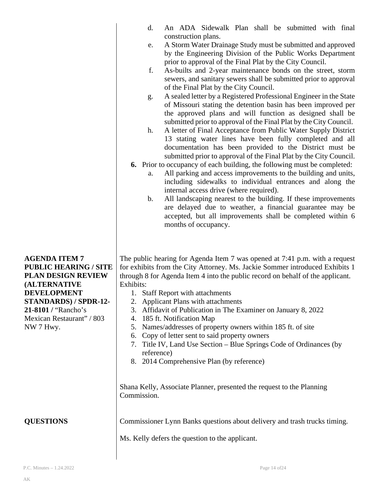| <b>AGENDA ITEM 7</b><br><b>PUBLIC HEARING / SITE</b><br><b>PLAN DESIGN REVIEW</b><br><b>(ALTERNATIVE</b><br>Exhibits:<br><b>DEVELOPMENT</b><br>1. Staff Report with attachments<br>STANDARDS) / SPDR-12-<br>2. Applicant Plans with attachments<br>21-8101 / "Rancho's<br>3. Affidavit of Publication in The Examiner on January 8, 2022<br>Mexican Restaurant" / 803<br>4. 185 ft. Notification Map<br>Names/addresses of property owners within 185 ft. of site<br>NW 7 Hwy.<br>6. Copy of letter sent to said property owners<br>7. Title IV, Land Use Section - Blue Springs Code of Ordinances (by<br>reference)<br>8. 2014 Comprehensive Plan (by reference) | by the Engineering Division of the Public Works Department<br>prior to approval of the Final Plat by the City Council.<br>As-builts and 2-year maintenance bonds on the street, storm<br>f.<br>sewers, and sanitary sewers shall be submitted prior to approval<br>of the Final Plat by the City Council.<br>A sealed letter by a Registered Professional Engineer in the State<br>g.<br>of Missouri stating the detention basin has been improved per<br>the approved plans and will function as designed shall be<br>submitted prior to approval of the Final Plat by the City Council.<br>A letter of Final Acceptance from Public Water Supply District<br>h.<br>13 stating water lines have been fully completed and all<br>documentation has been provided to the District must be<br>submitted prior to approval of the Final Plat by the City Council.<br><b>6.</b> Prior to occupancy of each building, the following must be completed:<br>All parking and access improvements to the building and units,<br>a.<br>including sidewalks to individual entrances and along the<br>internal access drive (where required).<br>All landscaping nearest to the building. If these improvements<br>b.<br>are delayed due to weather, a financial guarantee may be<br>accepted, but all improvements shall be completed within 6<br>months of occupancy. |
|--------------------------------------------------------------------------------------------------------------------------------------------------------------------------------------------------------------------------------------------------------------------------------------------------------------------------------------------------------------------------------------------------------------------------------------------------------------------------------------------------------------------------------------------------------------------------------------------------------------------------------------------------------------------|-------------------------------------------------------------------------------------------------------------------------------------------------------------------------------------------------------------------------------------------------------------------------------------------------------------------------------------------------------------------------------------------------------------------------------------------------------------------------------------------------------------------------------------------------------------------------------------------------------------------------------------------------------------------------------------------------------------------------------------------------------------------------------------------------------------------------------------------------------------------------------------------------------------------------------------------------------------------------------------------------------------------------------------------------------------------------------------------------------------------------------------------------------------------------------------------------------------------------------------------------------------------------------------------------------------------------------------------------------------|
|                                                                                                                                                                                                                                                                                                                                                                                                                                                                                                                                                                                                                                                                    | The public hearing for Agenda Item 7 was opened at 7:41 p.m. with a request<br>for exhibits from the City Attorney. Ms. Jackie Sommer introduced Exhibits 1<br>through 8 for Agenda Item 4 into the public record on behalf of the applicant.                                                                                                                                                                                                                                                                                                                                                                                                                                                                                                                                                                                                                                                                                                                                                                                                                                                                                                                                                                                                                                                                                                               |
| Commission.<br><b>QUESTIONS</b><br>Ms. Kelly defers the question to the applicant.                                                                                                                                                                                                                                                                                                                                                                                                                                                                                                                                                                                 | Shana Kelly, Associate Planner, presented the request to the Planning<br>Commissioner Lynn Banks questions about delivery and trash trucks timing.                                                                                                                                                                                                                                                                                                                                                                                                                                                                                                                                                                                                                                                                                                                                                                                                                                                                                                                                                                                                                                                                                                                                                                                                          |

construction plans.

d. An ADA Sidewalk Plan shall be submitted with final

e. A Storm Water Drainage Study must be submitted and approved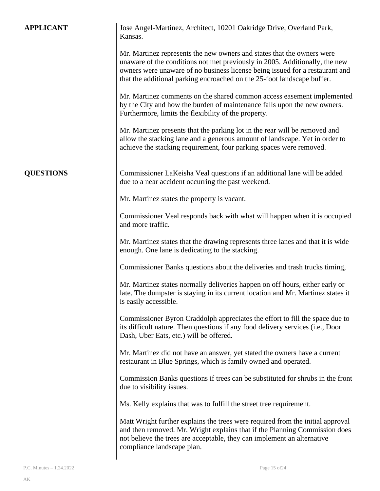| <b>APPLICANT</b> | Jose Angel-Martinez, Architect, 10201 Oakridge Drive, Overland Park,<br>Kansas.                                                                                                                                                                                                                                  |
|------------------|------------------------------------------------------------------------------------------------------------------------------------------------------------------------------------------------------------------------------------------------------------------------------------------------------------------|
|                  | Mr. Martinez represents the new owners and states that the owners were<br>unaware of the conditions not met previously in 2005. Additionally, the new<br>owners were unaware of no business license being issued for a restaurant and<br>that the additional parking encroached on the 25-foot landscape buffer. |
|                  | Mr. Martinez comments on the shared common access easement implemented<br>by the City and how the burden of maintenance falls upon the new owners.<br>Furthermore, limits the flexibility of the property.                                                                                                       |
|                  | Mr. Martinez presents that the parking lot in the rear will be removed and<br>allow the stacking lane and a generous amount of landscape. Yet in order to<br>achieve the stacking requirement, four parking spaces were removed.                                                                                 |
| <b>QUESTIONS</b> | Commissioner LaKeisha Veal questions if an additional lane will be added<br>due to a near accident occurring the past weekend.                                                                                                                                                                                   |
|                  | Mr. Martinez states the property is vacant.                                                                                                                                                                                                                                                                      |
|                  | Commissioner Veal responds back with what will happen when it is occupied<br>and more traffic.                                                                                                                                                                                                                   |
|                  | Mr. Martinez states that the drawing represents three lanes and that it is wide<br>enough. One lane is dedicating to the stacking.                                                                                                                                                                               |
|                  | Commissioner Banks questions about the deliveries and trash trucks timing,                                                                                                                                                                                                                                       |
|                  | Mr. Martinez states normally deliveries happen on off hours, either early or<br>late. The dumpster is staying in its current location and Mr. Martinez states it<br>is easily accessible.                                                                                                                        |
|                  | Commissioner Byron Craddolph appreciates the effort to fill the space due to<br>its difficult nature. Then questions if any food delivery services (i.e., Door<br>Dash, Uber Eats, etc.) will be offered.                                                                                                        |
|                  | Mr. Martinez did not have an answer, yet stated the owners have a current<br>restaurant in Blue Springs, which is family owned and operated.                                                                                                                                                                     |
|                  | Commission Banks questions if trees can be substituted for shrubs in the front<br>due to visibility issues.                                                                                                                                                                                                      |
|                  | Ms. Kelly explains that was to fulfill the street tree requirement.                                                                                                                                                                                                                                              |
|                  | Matt Wright further explains the trees were required from the initial approval<br>and then removed. Mr. Wright explains that if the Planning Commission does<br>not believe the trees are acceptable, they can implement an alternative<br>compliance landscape plan.                                            |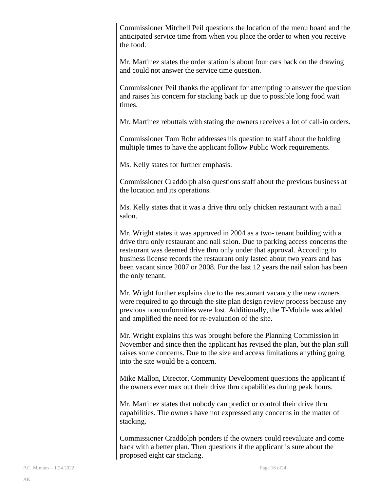Commissioner Mitchell Peil questions the location of the menu board and the anticipated service time from when you place the order to when you receive the food.

Mr. Martinez states the order station is about four cars back on the drawing and could not answer the service time question.

Commissioner Peil thanks the applicant for attempting to answer the question and raises his concern for stacking back up due to possible long food wait times.

Mr. Martinez rebuttals with stating the owners receives a lot of call-in orders.

Commissioner Tom Rohr addresses his question to staff about the bolding multiple times to have the applicant follow Public Work requirements.

Ms. Kelly states for further emphasis.

Commissioner Craddolph also questions staff about the previous business at the location and its operations.

Ms. Kelly states that it was a drive thru only chicken restaurant with a nail salon.

Mr. Wright states it was approved in 2004 as a two- tenant building with a drive thru only restaurant and nail salon. Due to parking access concerns the restaurant was deemed drive thru only under that approval. According to business license records the restaurant only lasted about two years and has been vacant since 2007 or 2008. For the last 12 years the nail salon has been the only tenant.

Mr. Wright further explains due to the restaurant vacancy the new owners were required to go through the site plan design review process because any previous nonconformities were lost. Additionally, the T-Mobile was added and amplified the need for re-evaluation of the site.

Mr. Wright explains this was brought before the Planning Commission in November and since then the applicant has revised the plan, but the plan still raises some concerns. Due to the size and access limitations anything going into the site would be a concern.

Mike Mallon, Director, Community Development questions the applicant if the owners ever max out their drive thru capabilities during peak hours.

Mr. Martinez states that nobody can predict or control their drive thru capabilities. The owners have not expressed any concerns in the matter of stacking.

Commissioner Craddolph ponders if the owners could reevaluate and come back with a better plan. Then questions if the applicant is sure about the proposed eight car stacking.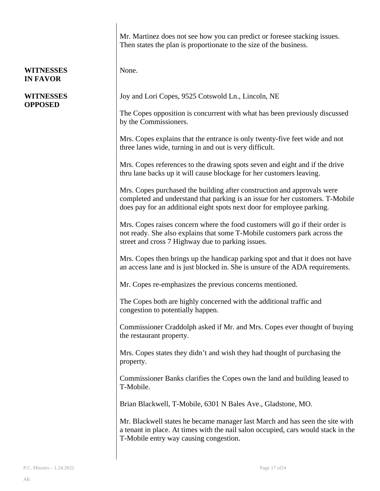#### **WITNESSES IN FAVOR**

#### **WITNESSES OPPOSED**

Mr. Martinez does not see how you can predict or foresee stacking issues. Then states the plan is proportionate to the size of the business.

None.

Joy and Lori Copes, 9525 Cotswold Ln., Lincoln, NE

The Copes opposition is concurrent with what has been previously discussed by the Commissioners.

Mrs. Copes explains that the entrance is only twenty-five feet wide and not three lanes wide, turning in and out is very difficult.

Mrs. Copes references to the drawing spots seven and eight and if the drive thru lane backs up it will cause blockage for her customers leaving.

Mrs. Copes purchased the building after construction and approvals were completed and understand that parking is an issue for her customers. T-Mobile does pay for an additional eight spots next door for employee parking.

Mrs. Copes raises concern where the food customers will go if their order is not ready. She also explains that some T-Mobile customers park across the street and cross 7 Highway due to parking issues.

Mrs. Copes then brings up the handicap parking spot and that it does not have an access lane and is just blocked in. She is unsure of the ADA requirements.

Mr. Copes re-emphasizes the previous concerns mentioned.

The Copes both are highly concerned with the additional traffic and congestion to potentially happen.

Commissioner Craddolph asked if Mr. and Mrs. Copes ever thought of buying the restaurant property.

Mrs. Copes states they didn't and wish they had thought of purchasing the property.

Commissioner Banks clarifies the Copes own the land and building leased to T-Mobile.

Brian Blackwell, T-Mobile, 6301 N Bales Ave., Gladstone, MO.

Mr. Blackwell states he became manager last March and has seen the site with a tenant in place. At times with the nail salon occupied, cars would stack in the T-Mobile entry way causing congestion.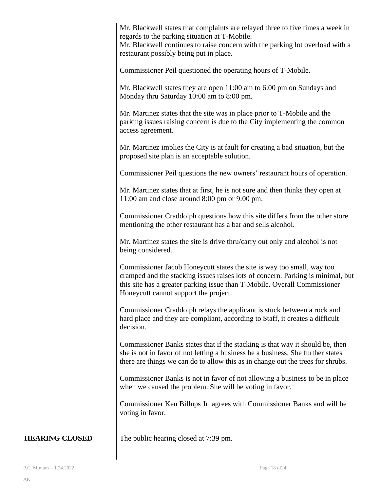Mr. Blackwell states that complaints are relayed three to five times a week in regards to the parking situation at T-Mobile.

Mr. Blackwell continues to raise concern with the parking lot overload with a restaurant possibly being put in place.

Commissioner Peil questioned the operating hours of T-Mobile.

Mr. Blackwell states they are open 11:00 am to 6:00 pm on Sundays and Monday thru Saturday 10:00 am to 8:00 pm.

Mr. Martinez states that the site was in place prior to T-Mobile and the parking issues raising concern is due to the City implementing the common access agreement.

Mr. Martinez implies the City is at fault for creating a bad situation, but the proposed site plan is an acceptable solution.

Commissioner Peil questions the new owners' restaurant hours of operation.

Mr. Martinez states that at first, he is not sure and then thinks they open at 11:00 am and close around 8:00 pm or 9:00 pm.

Commissioner Craddolph questions how this site differs from the other store mentioning the other restaurant has a bar and sells alcohol.

Mr. Martinez states the site is drive thru/carry out only and alcohol is not being considered.

Commissioner Jacob Honeycutt states the site is way too small, way too cramped and the stacking issues raises lots of concern. Parking is minimal, but this site has a greater parking issue than T-Mobile. Overall Commissioner Honeycutt cannot support the project.

Commissioner Craddolph relays the applicant is stuck between a rock and hard place and they are compliant, according to Staff, it creates a difficult decision.

Commissioner Banks states that if the stacking is that way it should be, then she is not in favor of not letting a business be a business. She further states there are things we can do to allow this as in change out the trees for shrubs.

Commissioner Banks is not in favor of not allowing a business to be in place when we caused the problem. She will be voting in favor.

Commissioner Ken Billups Jr. agrees with Commissioner Banks and will be voting in favor.

The public hearing closed at 7:39 pm.

**HEARING CLOSED**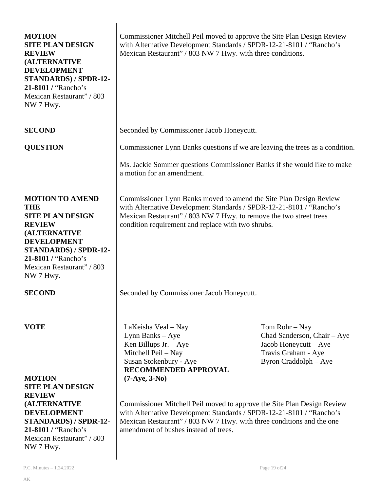| <b>MOTION</b><br><b>SITE PLAN DESIGN</b><br><b>REVIEW</b><br><b>(ALTERNATIVE</b><br><b>DEVELOPMENT</b><br>STANDARDS) / SPDR-12-<br>21-8101 / "Rancho's<br>Mexican Restaurant" / 803<br>NW 7 Hwy.                        | Commissioner Mitchell Peil moved to approve the Site Plan Design Review<br>with Alternative Development Standards / SPDR-12-21-8101 / "Rancho's<br>Mexican Restaurant" / 803 NW 7 Hwy. with three conditions.                                                          |                                                                                                                        |
|-------------------------------------------------------------------------------------------------------------------------------------------------------------------------------------------------------------------------|------------------------------------------------------------------------------------------------------------------------------------------------------------------------------------------------------------------------------------------------------------------------|------------------------------------------------------------------------------------------------------------------------|
| <b>SECOND</b>                                                                                                                                                                                                           | Seconded by Commissioner Jacob Honeycutt.                                                                                                                                                                                                                              |                                                                                                                        |
| <b>QUESTION</b>                                                                                                                                                                                                         | Commissioner Lynn Banks questions if we are leaving the trees as a condition.                                                                                                                                                                                          |                                                                                                                        |
|                                                                                                                                                                                                                         | Ms. Jackie Sommer questions Commissioner Banks if she would like to make<br>a motion for an amendment.                                                                                                                                                                 |                                                                                                                        |
| <b>MOTION TO AMEND</b><br><b>THE</b><br><b>SITE PLAN DESIGN</b><br><b>REVIEW</b><br><b>(ALTERNATIVE</b><br><b>DEVELOPMENT</b><br>STANDARDS) / SPDR-12-<br>21-8101 / "Rancho's<br>Mexican Restaurant" / 803<br>NW 7 Hwy. | Commissioner Lynn Banks moved to amend the Site Plan Design Review<br>with Alternative Development Standards / SPDR-12-21-8101 / "Rancho's<br>Mexican Restaurant" / 803 NW 7 Hwy. to remove the two street trees<br>condition requirement and replace with two shrubs. |                                                                                                                        |
| <b>SECOND</b>                                                                                                                                                                                                           | Seconded by Commissioner Jacob Honeycutt.                                                                                                                                                                                                                              |                                                                                                                        |
| <b>VOTE</b><br><b>MOTION</b><br><b>SITE PLAN DESIGN</b>                                                                                                                                                                 | LaKeisha Veal – Nay<br>Lynn Banks $-$ Aye<br>Ken Billups Jr. $-$ Aye<br>Mitchell Peil – Nay<br>Susan Stokenbury - Aye<br>RECOMMENDED APPROVAL<br>$(7-Aye, 3-No)$                                                                                                       | Tom Rohr - Nay<br>Chad Sanderson, Chair - Aye<br>Jacob Honeycutt – Aye<br>Travis Graham - Aye<br>Byron Craddolph - Aye |
| <b>REVIEW</b><br><b>(ALTERNATIVE</b><br><b>DEVELOPMENT</b><br><b>STANDARDS) / SPDR-12-</b><br>21-8101 / "Rancho's<br>Mexican Restaurant" / 803<br>NW 7 Hwy.                                                             | Commissioner Mitchell Peil moved to approve the Site Plan Design Review<br>with Alternative Development Standards / SPDR-12-21-8101 / "Rancho's<br>Mexican Restaurant" / 803 NW 7 Hwy. with three conditions and the one<br>amendment of bushes instead of trees.      |                                                                                                                        |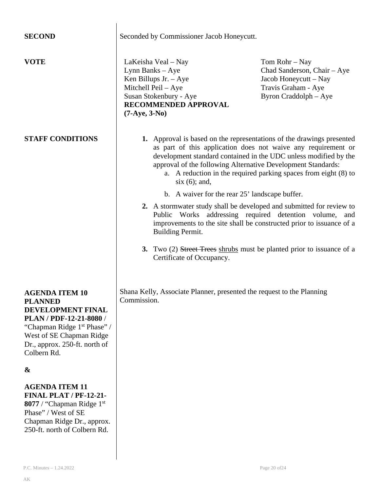| <b>SECOND</b>                                                                                                                                                                                                  | Seconded by Commissioner Jacob Honeycutt.                                                                                                                                                                                                                                                                                                                                                 |                                                                                                                          |  |
|----------------------------------------------------------------------------------------------------------------------------------------------------------------------------------------------------------------|-------------------------------------------------------------------------------------------------------------------------------------------------------------------------------------------------------------------------------------------------------------------------------------------------------------------------------------------------------------------------------------------|--------------------------------------------------------------------------------------------------------------------------|--|
| <b>VOTE</b>                                                                                                                                                                                                    | LaKeisha Veal – Nay<br>Lynn Banks - Aye<br>Ken Billups Jr. $-$ Aye<br>Mitchell Peil - Aye<br>Susan Stokenbury - Aye<br>RECOMMENDED APPROVAL<br>$(7-Aye, 3-No)$                                                                                                                                                                                                                            | Tom Rohr $-$ Nay<br>Chad Sanderson, Chair - Aye<br>Jacob Honeycutt – Nay<br>Travis Graham - Aye<br>Byron Craddolph - Aye |  |
| <b>STAFF CONDITIONS</b>                                                                                                                                                                                        | 1. Approval is based on the representations of the drawings presented<br>as part of this application does not waive any requirement or<br>development standard contained in the UDC unless modified by the<br>approval of the following Alternative Development Standards:<br>a. A reduction in the required parking spaces from eight (8) to<br>$six(6)$ ; and,                          |                                                                                                                          |  |
|                                                                                                                                                                                                                | b. A waiver for the rear 25' landscape buffer.<br>2. A stormwater study shall be developed and submitted for review to<br>Public Works addressing required detention volume, and<br>improvements to the site shall be constructed prior to issuance of a<br><b>Building Permit.</b><br>3. Two (2) Street Trees shrubs must be planted prior to issuance of a<br>Certificate of Occupancy. |                                                                                                                          |  |
| <b>AGENDA ITEM 10</b><br><b>PLANNED</b><br>DEVELOPMENT FINAL<br>PLAN / PDF-12-21-8080 /<br>"Chapman Ridge 1 <sup>st</sup> Phase" /<br>West of SE Chapman Ridge<br>Dr., approx. 250-ft. north of<br>Colbern Rd. | Shana Kelly, Associate Planner, presented the request to the Planning<br>Commission.                                                                                                                                                                                                                                                                                                      |                                                                                                                          |  |
| &                                                                                                                                                                                                              |                                                                                                                                                                                                                                                                                                                                                                                           |                                                                                                                          |  |
| <b>AGENDA ITEM 11</b><br><b>FINAL PLAT / PF-12-21-</b><br>8077 / "Chapman Ridge 1st<br>Phase" / West of SE<br>Chapman Ridge Dr., approx.<br>250-ft. north of Colbern Rd.                                       |                                                                                                                                                                                                                                                                                                                                                                                           |                                                                                                                          |  |

 $\begin{array}{c} \hline \end{array}$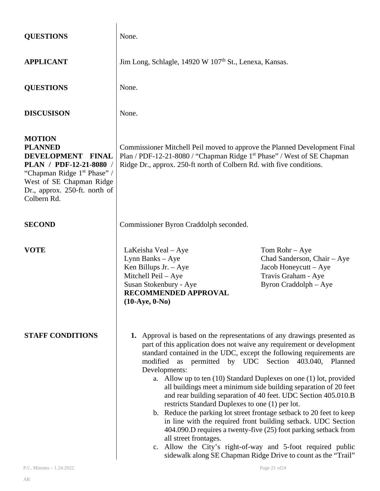| <b>QUESTIONS</b>                                                                                                                                                                                       | None.                                                                                                                                                                                                                                                                                                                                                                                                                                                                                                                                                                                                                                                                                                                                                                                                                                                                                                                                    |  |  |
|--------------------------------------------------------------------------------------------------------------------------------------------------------------------------------------------------------|------------------------------------------------------------------------------------------------------------------------------------------------------------------------------------------------------------------------------------------------------------------------------------------------------------------------------------------------------------------------------------------------------------------------------------------------------------------------------------------------------------------------------------------------------------------------------------------------------------------------------------------------------------------------------------------------------------------------------------------------------------------------------------------------------------------------------------------------------------------------------------------------------------------------------------------|--|--|
| <b>APPLICANT</b>                                                                                                                                                                                       | Jim Long, Schlagle, 14920 W 107 <sup>th</sup> St., Lenexa, Kansas.                                                                                                                                                                                                                                                                                                                                                                                                                                                                                                                                                                                                                                                                                                                                                                                                                                                                       |  |  |
| <b>QUESTIONS</b>                                                                                                                                                                                       | None.                                                                                                                                                                                                                                                                                                                                                                                                                                                                                                                                                                                                                                                                                                                                                                                                                                                                                                                                    |  |  |
| <b>DISCUSISON</b>                                                                                                                                                                                      | None.                                                                                                                                                                                                                                                                                                                                                                                                                                                                                                                                                                                                                                                                                                                                                                                                                                                                                                                                    |  |  |
| <b>MOTION</b><br><b>PLANNED</b><br>DEVELOPMENT FINAL<br>PLAN / PDF-12-21-8080 /<br>"Chapman Ridge 1 <sup>st</sup> Phase" /<br>West of SE Chapman Ridge<br>Dr., approx. 250-ft. north of<br>Colbern Rd. | Commissioner Mitchell Peil moved to approve the Planned Development Final<br>Plan / PDF-12-21-8080 / "Chapman Ridge 1st Phase" / West of SE Chapman<br>Ridge Dr., approx. 250-ft north of Colbern Rd. with five conditions.                                                                                                                                                                                                                                                                                                                                                                                                                                                                                                                                                                                                                                                                                                              |  |  |
| <b>SECOND</b>                                                                                                                                                                                          | Commissioner Byron Craddolph seconded.                                                                                                                                                                                                                                                                                                                                                                                                                                                                                                                                                                                                                                                                                                                                                                                                                                                                                                   |  |  |
| <b>VOTE</b>                                                                                                                                                                                            | LaKeisha Veal – Aye<br>Tom Rohr $-$ Aye<br>Chad Sanderson, Chair - Aye<br>Lynn Banks - Aye<br>Ken Billups Jr. $-$ Aye<br>Jacob Honeycutt - Aye<br>Mitchell Peil - Aye<br>Travis Graham - Aye<br>Susan Stokenbury - Aye<br>Byron Craddolph - Aye<br><b>RECOMMENDED APPROVAL</b><br>$(10-Aye, 0-No)$                                                                                                                                                                                                                                                                                                                                                                                                                                                                                                                                                                                                                                       |  |  |
| <b>STAFF CONDITIONS</b>                                                                                                                                                                                | 1. Approval is based on the representations of any drawings presented as<br>part of this application does not waive any requirement or development<br>standard contained in the UDC, except the following requirements are<br>modified as permitted by UDC Section 403.040, Planned<br>Developments:<br>a. Allow up to ten (10) Standard Duplexes on one (1) lot, provided<br>all buildings meet a minimum side building separation of 20 feet<br>and rear building separation of 40 feet. UDC Section 405.010.B<br>restricts Standard Duplexes to one (1) per lot.<br>b. Reduce the parking lot street frontage setback to 20 feet to keep<br>in line with the required front building setback. UDC Section<br>404.090.D requires a twenty-five (25) foot parking setback from<br>all street frontages.<br>c. Allow the City's right-of-way and 5-foot required public<br>sidewalk along SE Chapman Ridge Drive to count as the "Trail" |  |  |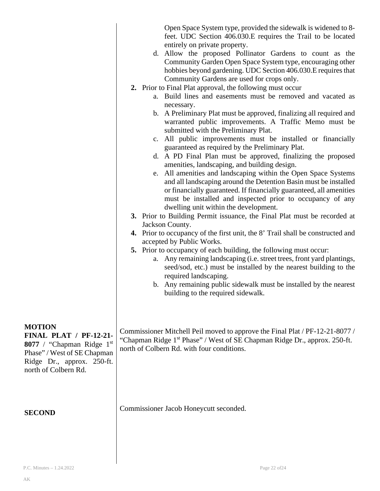|                                                                                                                                                                  | Open Space System type, provided the sidewalk is widened to 8-<br>feet. UDC Section 406.030.E requires the Trail to be located<br>entirely on private property.<br>d. Allow the proposed Pollinator Gardens to count as the<br>Community Garden Open Space System type, encouraging other<br>hobbies beyond gardening. UDC Section 406.030. E requires that<br>Community Gardens are used for crops only.<br>2. Prior to Final Plat approval, the following must occur<br>a. Build lines and easements must be removed and vacated as<br>necessary.<br>b. A Preliminary Plat must be approved, finalizing all required and<br>warranted public improvements. A Traffic Memo must be<br>submitted with the Preliminary Plat.<br>c. All public improvements must be installed or financially<br>guaranteed as required by the Preliminary Plat.<br>d. A PD Final Plan must be approved, finalizing the proposed<br>amenities, landscaping, and building design.<br>e. All amenities and landscaping within the Open Space Systems<br>and all landscaping around the Detention Basin must be installed<br>or financially guaranteed. If financially guaranteed, all amenities<br>must be installed and inspected prior to occupancy of any<br>dwelling unit within the development.<br>3. Prior to Building Permit issuance, the Final Plat must be recorded at<br>Jackson County.<br>4. Prior to occupancy of the first unit, the 8' Trail shall be constructed and<br>accepted by Public Works.<br>5. Prior to occupancy of each building, the following must occur:<br>a. Any remaining landscaping (i.e. street trees, front yard plantings,<br>seed/sod, etc.) must be installed by the nearest building to the<br>required landscaping.<br>b. Any remaining public sidewalk must be installed by the nearest<br>building to the required sidewalk. |  |
|------------------------------------------------------------------------------------------------------------------------------------------------------------------|-------------------------------------------------------------------------------------------------------------------------------------------------------------------------------------------------------------------------------------------------------------------------------------------------------------------------------------------------------------------------------------------------------------------------------------------------------------------------------------------------------------------------------------------------------------------------------------------------------------------------------------------------------------------------------------------------------------------------------------------------------------------------------------------------------------------------------------------------------------------------------------------------------------------------------------------------------------------------------------------------------------------------------------------------------------------------------------------------------------------------------------------------------------------------------------------------------------------------------------------------------------------------------------------------------------------------------------------------------------------------------------------------------------------------------------------------------------------------------------------------------------------------------------------------------------------------------------------------------------------------------------------------------------------------------------------------------------------------------------------------------------------------------------------------------------------------------------------------------|--|
| <b>MOTION</b><br><b>FINAL PLAT / PF-12-21-</b><br>8077 / "Chapman Ridge 1st<br>Phase" / West of SE Chapman<br>Ridge Dr., approx. 250-ft.<br>north of Colbern Rd. | Commissioner Mitchell Peil moved to approve the Final Plat / PF-12-21-8077 /<br>"Chapman Ridge 1 <sup>st</sup> Phase" / West of SE Chapman Ridge Dr., approx. 250-ft.<br>north of Colbern Rd. with four conditions.                                                                                                                                                                                                                                                                                                                                                                                                                                                                                                                                                                                                                                                                                                                                                                                                                                                                                                                                                                                                                                                                                                                                                                                                                                                                                                                                                                                                                                                                                                                                                                                                                                   |  |
| <b>SECOND</b>                                                                                                                                                    | Commissioner Jacob Honeycutt seconded.                                                                                                                                                                                                                                                                                                                                                                                                                                                                                                                                                                                                                                                                                                                                                                                                                                                                                                                                                                                                                                                                                                                                                                                                                                                                                                                                                                                                                                                                                                                                                                                                                                                                                                                                                                                                                |  |

 $\overline{\phantom{a}}$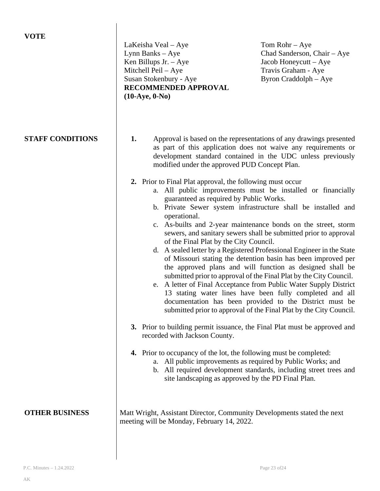| <b>VOTE</b>             | LaKeisha Veal – Aye<br>Lynn Banks - Aye<br>Ken Billups Jr. $-$ Aye<br>Mitchell Peil - Aye<br>Susan Stokenbury - Aye<br>RECOMMENDED APPROVAL<br>$(10-Aye, 0-No)$                                                                                                                                                                                                                                                                                                 | Tom Rohr $-$ Aye<br>Chad Sanderson, Chair - Aye<br>Jacob Honeycutt – Aye<br>Travis Graham - Aye<br>Byron Craddolph – Aye                                                                                                                                                                                                                                                                                                                                                                                                                                                                                                                                                                                                                                                                                                                                                                                                                                                                                                                                                                                                                                     |
|-------------------------|-----------------------------------------------------------------------------------------------------------------------------------------------------------------------------------------------------------------------------------------------------------------------------------------------------------------------------------------------------------------------------------------------------------------------------------------------------------------|--------------------------------------------------------------------------------------------------------------------------------------------------------------------------------------------------------------------------------------------------------------------------------------------------------------------------------------------------------------------------------------------------------------------------------------------------------------------------------------------------------------------------------------------------------------------------------------------------------------------------------------------------------------------------------------------------------------------------------------------------------------------------------------------------------------------------------------------------------------------------------------------------------------------------------------------------------------------------------------------------------------------------------------------------------------------------------------------------------------------------------------------------------------|
| <b>STAFF CONDITIONS</b> | 1.<br>modified under the approved PUD Concept Plan.<br>2. Prior to Final Plat approval, the following must occur<br>guaranteed as required by Public Works.<br>operational.<br>of the Final Plat by the City Council.<br>3. Prior to building permit issuance, the Final Plat must be approved and<br>recorded with Jackson County.<br>4. Prior to occupancy of the lot, the following must be completed:<br>site landscaping as approved by the PD Final Plan. | Approval is based on the representations of any drawings presented<br>as part of this application does not waive any requirements or<br>development standard contained in the UDC unless previously<br>a. All public improvements must be installed or financially<br>b. Private Sewer system infrastructure shall be installed and<br>c. As-builts and 2-year maintenance bonds on the street, storm<br>sewers, and sanitary sewers shall be submitted prior to approval<br>d. A sealed letter by a Registered Professional Engineer in the State<br>of Missouri stating the detention basin has been improved per<br>the approved plans and will function as designed shall be<br>submitted prior to approval of the Final Plat by the City Council.<br>e. A letter of Final Acceptance from Public Water Supply District<br>13 stating water lines have been fully completed and all<br>documentation has been provided to the District must be<br>submitted prior to approval of the Final Plat by the City Council.<br>a. All public improvements as required by Public Works; and<br>b. All required development standards, including street trees and |
| <b>OTHER BUSINESS</b>   | Matt Wright, Assistant Director, Community Developments stated the next<br>meeting will be Monday, February 14, 2022.                                                                                                                                                                                                                                                                                                                                           |                                                                                                                                                                                                                                                                                                                                                                                                                                                                                                                                                                                                                                                                                                                                                                                                                                                                                                                                                                                                                                                                                                                                                              |